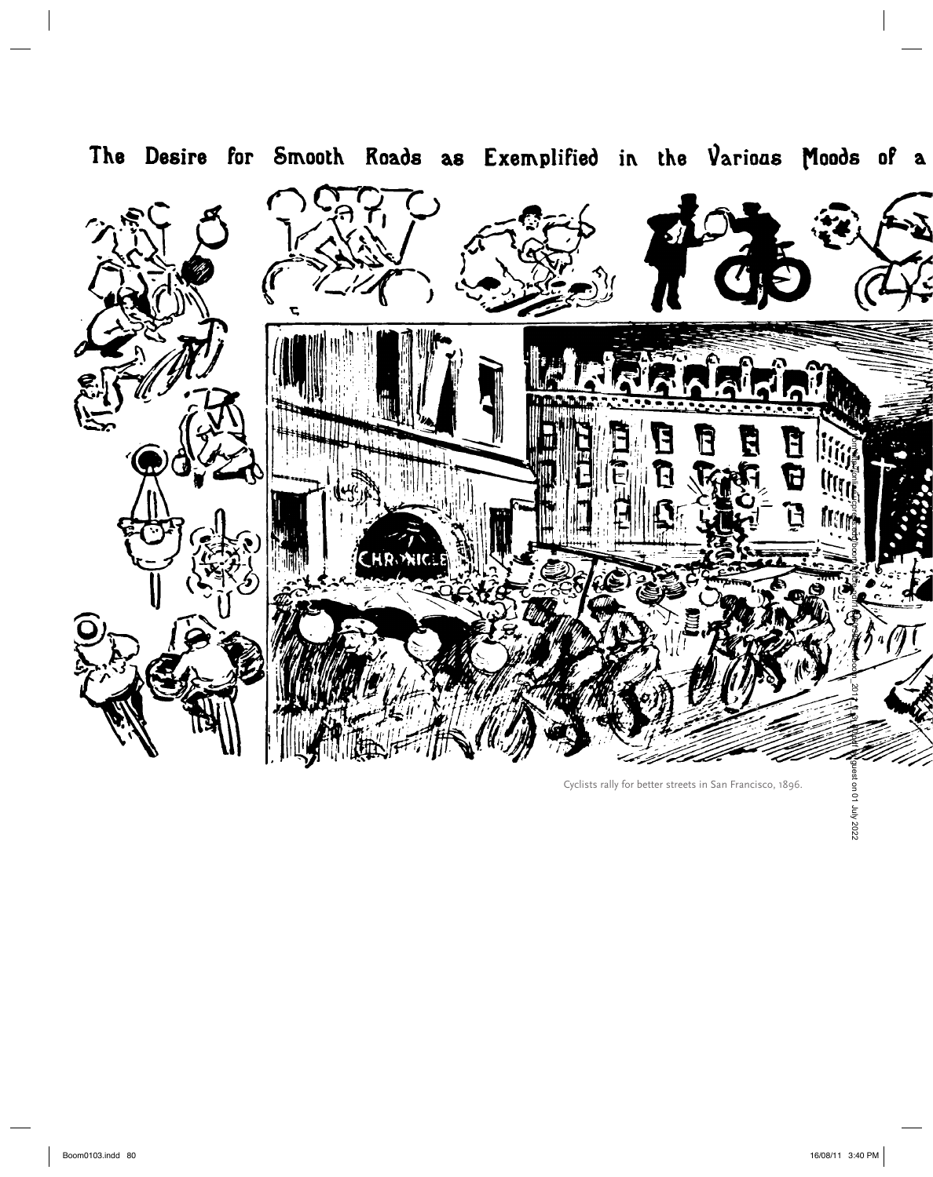

Cyclists rally for better streets in San Francisco, 1896.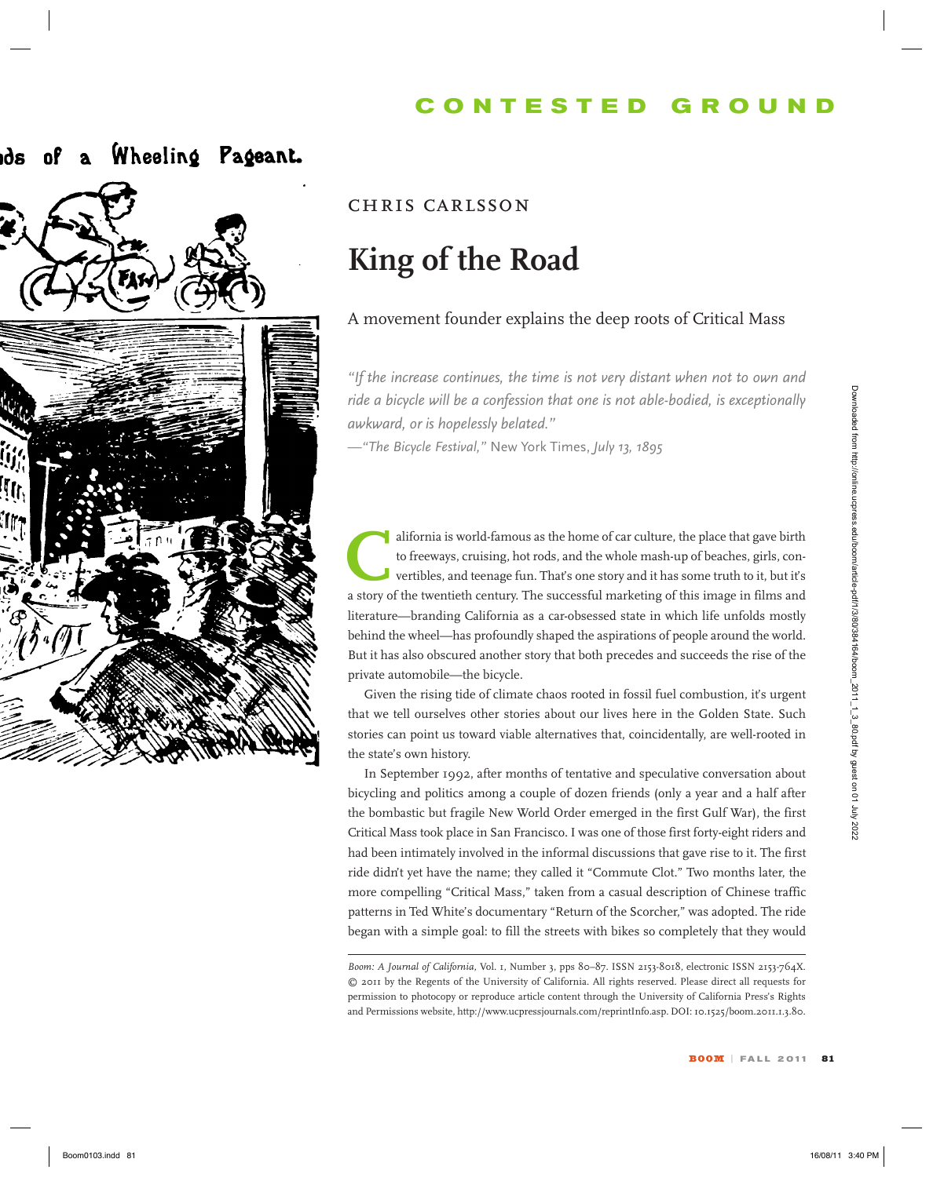# **C ontested G round**

# Wheeling Pageant.



## *chris carlsson*

# **King of the Road**

## A movement founder explains the deep roots of Critical Mass

*"If the increase continues, the time is not very distant when not to own and ride a bicycle will be a confession that one is not able-bodied, is exceptionally awkward, or is hopelessly belated."*

—*"The Bicycle Festival,"* New York Times, *July 13, 1895*

alifornia is world-famous as the home of car culture, the place that gave birth to freeways, cruising, hot rods, and the whole mash-up of beaches, girls, convertibles, and teenage fun. That's one story and it has some truth to it, but it's a story of the twentieth century. The successful marketing of this image in films and literature—branding California as a car-obsessed state in which life unfolds mostly behind the wheel—has profoundly shaped the aspirations of people around the world. But it has also obscured another story that both precedes and succeeds the rise of the private automobile—the bicycle.

Given the rising tide of climate chaos rooted in fossil fuel combustion, it's urgent that we tell ourselves other stories about our lives here in the Golden State. Such stories can point us toward viable alternatives that, coincidentally, are well-rooted in the state's own history.

In September 1992, after months of tentative and speculative conversation about bicycling and politics among a couple of dozen friends (only a year and a half after the bombastic but fragile New World Order emerged in the first Gulf War), the first Critical Mass took place in San Francisco. I was one of those first forty-eight riders and had been intimately involved in the informal discussions that gave rise to it. The first ride didn't yet have the name; they called it "Commute Clot." Two months later, the more compelling "Critical Mass," taken from a casual description of Chinese traffic patterns in Ted White's documentary "Return of the Scorcher," was adopted. The ride began with a simple goal: to fill the streets with bikes so completely that they would

*Boom: A Journal of California,* Vol. 1, Number 3, pps 80–87. ISSN 2153-8018, electronic ISSN 2153-764X. © 2011 by the Regents of the University of California. All rights reserved. Please direct all requests for permission to photocopy or reproduce article content through the University of California Press's Rights and Permissions website, http://www.ucpressjournals.com/reprintInfo.asp. DOI: 10.1525/boom.2011.1.3.80.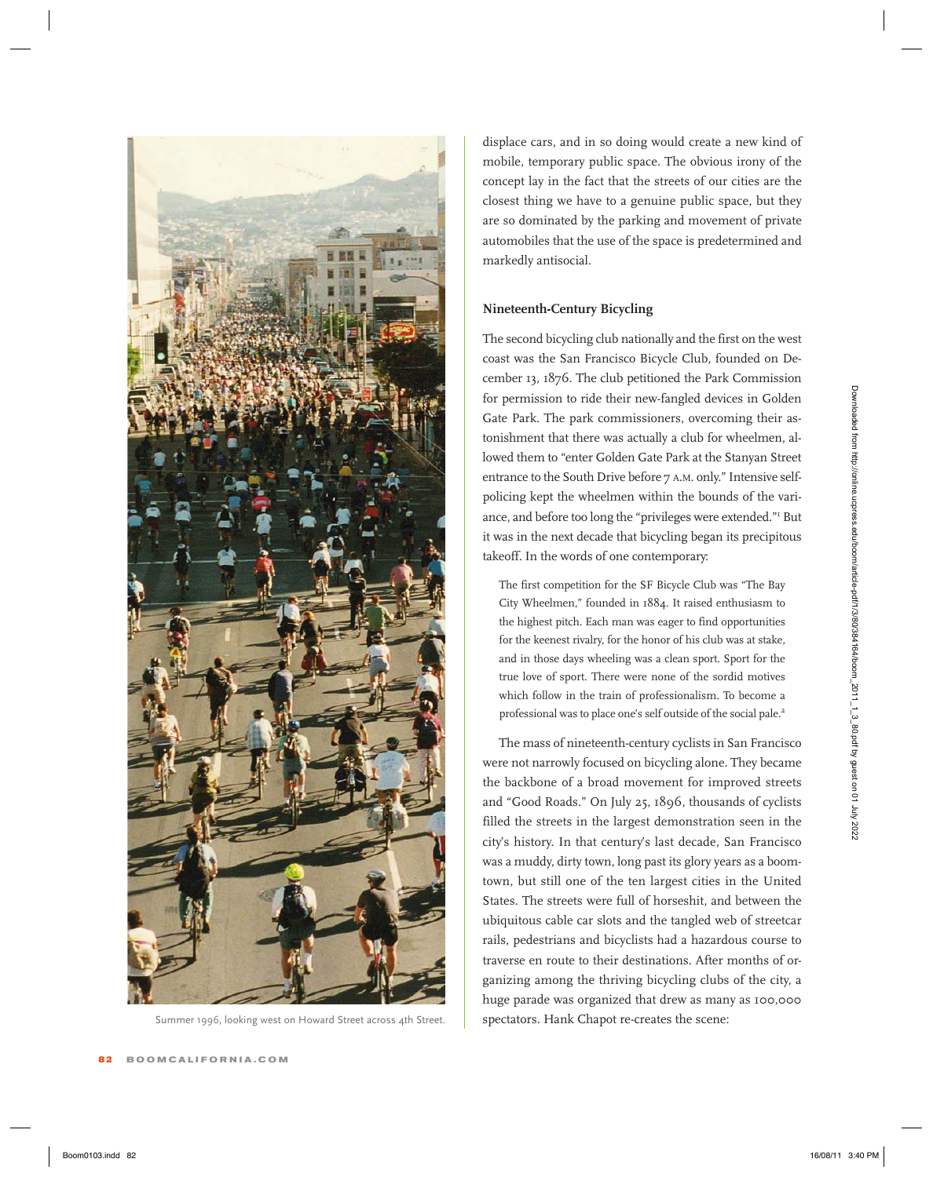

Summer 1996, looking west on Howard Street across 4th Street. **Spectators. Hank Chapot re-creates the scene:** 

displace cars, and in so doing would create a new kind of mobile, temporary public space. The obvious irony of the concept lay in the fact that the streets of our cities are the closest thing we have to a genuine public space, but they are so dominated by the parking and movement of private automobiles that the use of the space is predetermined and markedly antisocial.

#### **Nineteenth-Century Bicycling**

The second bicycling club nationally and the first on the west coast was the San Francisco Bicycle Club, founded on December 13, 1876. The club petitioned the Park Commission for permission to ride their new-fangled devices in Golden Gate Park. The park commissioners, overcoming their astonishment that there was actually a club for wheelmen, allowed them to "enter Golden Gate Park at the Stanyan Street entrance to the South Drive before 7 a.m. only." Intensive selfpolicing kept the wheelmen within the bounds of the variance, and before too long the "privileges were extended."1 But it was in the next decade that bicycling began its precipitous takeoff. In the words of one contemporary:

The first competition for the SF Bicycle Club was "The Bay City Wheelmen," founded in 1884. It raised enthusiasm to the highest pitch. Each man was eager to find opportunities for the keenest rivalry, for the honor of his club was at stake, and in those days wheeling was a clean sport. Sport for the true love of sport. There were none of the sordid motives which follow in the train of professionalism. To become a professional was to place one's self outside of the social pale.<sup>2</sup>

The mass of nineteenth-century cyclists in San Francisco were not narrowly focused on bicycling alone. They became the backbone of a broad movement for improved streets and "Good Roads." On July 25, 1896, thousands of cyclists filled the streets in the largest demonstration seen in the city's history. In that century's last decade, San Francisco was a muddy, dirty town, long past its glory years as a boomtown, but still one of the ten largest cities in the United States. The streets were full of horseshit, and between the ubiquitous cable car slots and the tangled web of streetcar rails, pedestrians and bicyclists had a hazardous course to traverse en route to their destinations. After months of organizing among the thriving bicycling clubs of the city, a huge parade was organized that drew as many as 100,000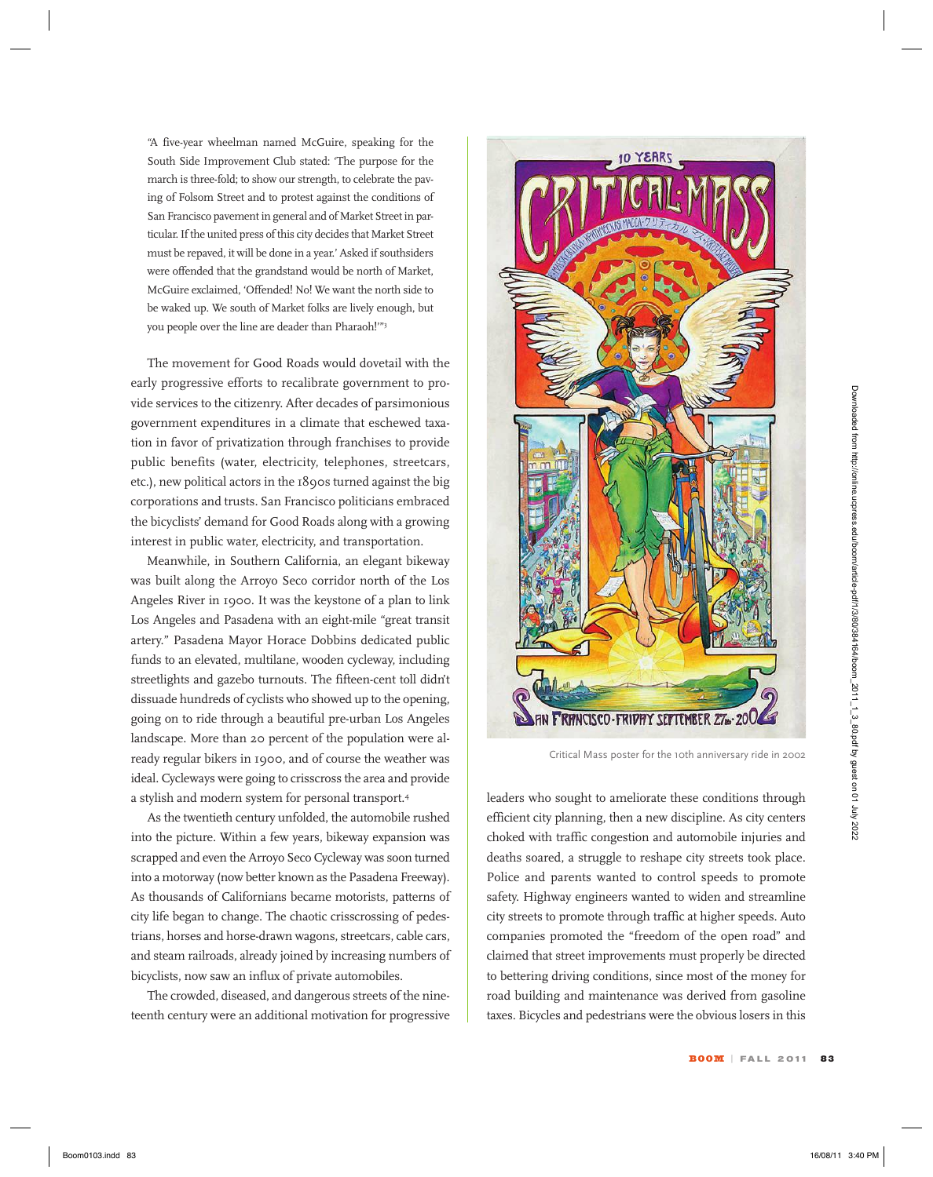"A five-year wheelman named McGuire, speaking for the South Side Improvement Club stated: 'The purpose for the march is three-fold; to show our strength, to celebrate the paving of Folsom Street and to protest against the conditions of San Francisco pavement in general and of Market Street in particular.If the united press of this city decides that Market Street must be repaved, it will be done in a year.' Asked if southsiders were offended that the grandstand would be north of Market, McGuire exclaimed, 'Offended! No! We want the north side to be waked up. We south of Market folks are lively enough, but you people over the line are deader than Pharaoh!'"3

The movement for Good Roads would dovetail with the early progressive efforts to recalibrate government to provide services to the citizenry. After decades of parsimonious government expenditures in a climate that eschewed taxation in favor of privatization through franchises to provide public benefits (water, electricity, telephones, streetcars, etc.), new political actors in the 1890s turned against the big corporations and trusts. San Francisco politicians embraced the bicyclists' demand for Good Roads along with a growing interest in public water, electricity, and transportation.

Meanwhile, in Southern California, an elegant bikeway was built along the Arroyo Seco corridor north of the Los Angeles River in 1900. It was the keystone of a plan to link Los Angeles and Pasadena with an eight-mile "great transit artery." Pasadena Mayor Horace Dobbins dedicated public funds to an elevated, multilane, wooden cycleway, including streetlights and gazebo turnouts. The fifteen-cent toll didn't dissuade hundreds of cyclists who showed up to the opening, going on to ride through a beautiful pre-urban Los Angeles landscape. More than 20 percent of the population were already regular bikers in 1900, and of course the weather was ideal. Cycleways were going to crisscross the area and provide a stylish and modern system for personal transport.4

As the twentieth century unfolded, the automobile rushed into the picture. Within a few years, bikeway expansion was scrapped and even the Arroyo Seco Cycleway was soon turned into a motorway (now better known as the Pasadena Freeway). As thousands of Californians became motorists, patterns of city life began to change. The chaotic crisscrossing of pedestrians, horses and horse-drawn wagons, streetcars, cable cars, and steam railroads, already joined by increasing numbers of bicyclists, now saw an influx of private automobiles.

The crowded, diseased, and dangerous streets of the nineteenth century were an additional motivation for progressive



Critical Mass poster for the 10th anniversary ride in 2002

leaders who sought to ameliorate these conditions through efficient city planning, then a new discipline. As city centers choked with traffic congestion and automobile injuries and deaths soared, a struggle to reshape city streets took place. Police and parents wanted to control speeds to promote safety. Highway engineers wanted to widen and streamline city streets to promote through traffic at higher speeds. Auto companies promoted the "freedom of the open road" and claimed that street improvements must properly be directed to bettering driving conditions, since most of the money for road building and maintenance was derived from gasoline taxes. Bicycles and pedestrians were the obvious losers in this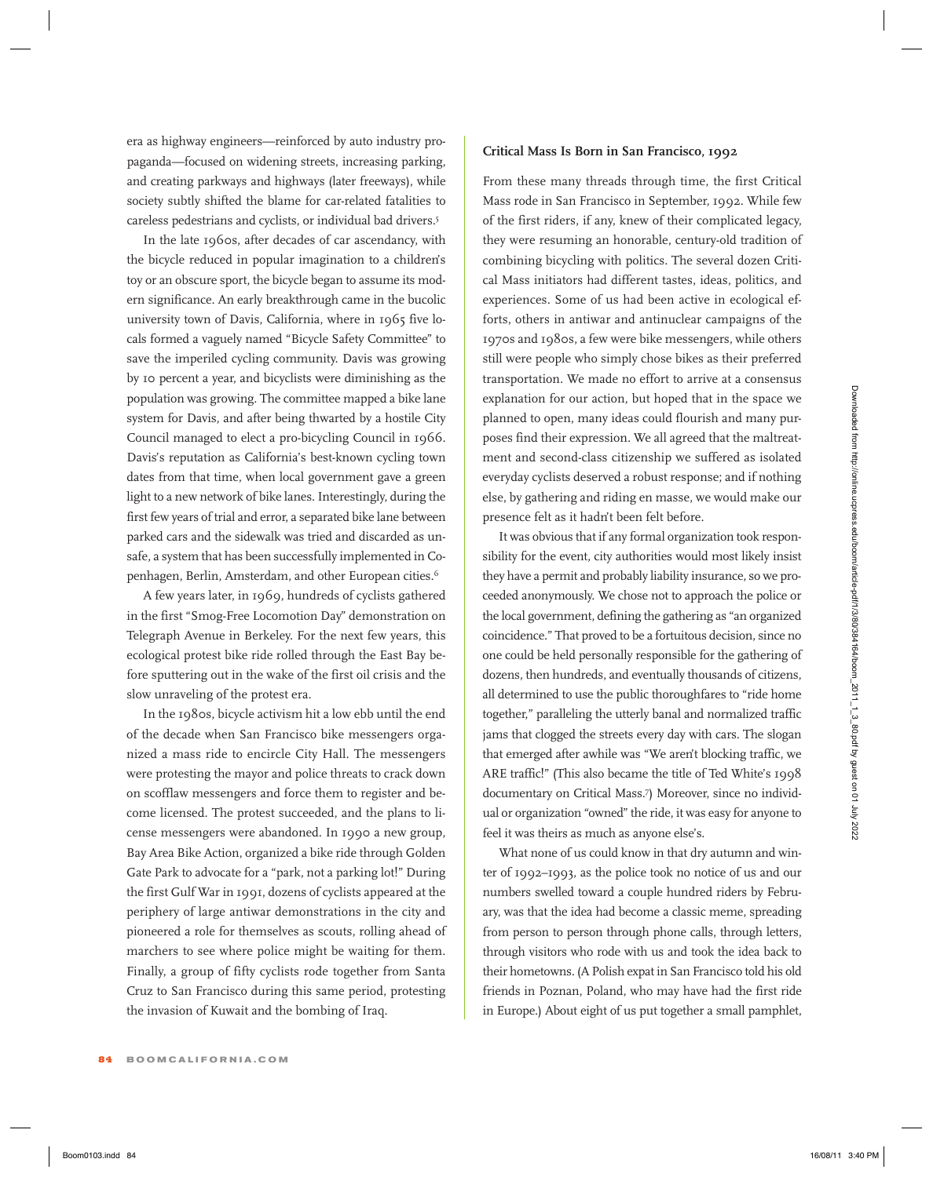era as highway engineers—reinforced by auto industry propaganda—focused on widening streets, increasing parking, and creating parkways and highways (later freeways), while society subtly shifted the blame for car-related fatalities to careless pedestrians and cyclists, or individual bad drivers.5

In the late 1960s, after decades of car ascendancy, with the bicycle reduced in popular imagination to a children's toy or an obscure sport, the bicycle began to assume its modern significance. An early breakthrough came in the bucolic university town of Davis, California, where in 1965 five locals formed a vaguely named "Bicycle Safety Committee" to save the imperiled cycling community. Davis was growing by 10 percent a year, and bicyclists were diminishing as the population was growing. The committee mapped a bike lane system for Davis, and after being thwarted by a hostile City Council managed to elect a pro-bicycling Council in 1966. Davis's reputation as California's best-known cycling town dates from that time, when local government gave a green light to a new network of bike lanes. Interestingly, during the first few years of trial and error, a separated bike lane between parked cars and the sidewalk was tried and discarded as unsafe, a system that has been successfully implemented in Copenhagen, Berlin, Amsterdam, and other European cities.6

A few years later, in 1969, hundreds of cyclists gathered in the first "Smog-Free Locomotion Day" demonstration on Telegraph Avenue in Berkeley. For the next few years, this ecological protest bike ride rolled through the East Bay before sputtering out in the wake of the first oil crisis and the slow unraveling of the protest era.

In the 1980s, bicycle activism hit a low ebb until the end of the decade when San Francisco bike messengers organized a mass ride to encircle City Hall. The messengers were protesting the mayor and police threats to crack down on scofflaw messengers and force them to register and become licensed. The protest succeeded, and the plans to license messengers were abandoned. In 1990 a new group, Bay Area Bike Action, organized a bike ride through Golden Gate Park to advocate for a "park, not a parking lot!" During the first Gulf War in 1991, dozens of cyclists appeared at the periphery of large antiwar demonstrations in the city and pioneered a role for themselves as scouts, rolling ahead of marchers to see where police might be waiting for them. Finally, a group of fifty cyclists rode together from Santa Cruz to San Francisco during this same period, protesting the invasion of Kuwait and the bombing of Iraq. population was georedic plure controlled to the latter interact for the signal state in the space of the space of the space of the space of the space of the space of the space of the space of the space of the space of the

### **Critical Mass Is Born in San Francisco, 1992**

From these many threads through time, the first Critical Mass rode in San Francisco in September, 1992. While few of the first riders, if any, knew of their complicated legacy, they were resuming an honorable, century-old tradition of combining bicycling with politics. The several dozen Critical Mass initiators had different tastes, ideas, politics, and experiences. Some of us had been active in ecological efforts, others in antiwar and antinuclear campaigns of the 1970s and 1980s, a few were bike messengers, while others still were people who simply chose bikes as their preferred transportation. We made no effort to arrive at a consensus explanation for our action, but hoped that in the space we planned to open, many ideas could flourish and many purposes find their expression. We all agreed that the maltreatment and second-class citizenship we suffered as isolated everyday cyclists deserved a robust response; and if nothing else, by gathering and riding en masse, we would make our presence felt as it hadn't been felt before.

It was obvious that if any formal organization took responsibility for the event, city authorities would most likely insist they have a permit and probably liability insurance, so we proceeded anonymously. We chose not to approach the police or the local government, defining the gathering as "an organized coincidence." That proved to be a fortuitous decision, since no one could be held personally responsible for the gathering of dozens, then hundreds, and eventually thousands of citizens, all determined to use the public thoroughfares to "ride home together," paralleling the utterly banal and normalized traffic jams that clogged the streets every day with cars. The slogan that emerged after awhile was "We aren't blocking traffic, we ARE traffic!" (This also became the title of Ted White's 1998 documentary on Critical Mass.<sup>7</sup>) Moreover, since no individual or organization "owned" the ride, it was easy for anyone to feel it was theirs as much as anyone else's.

What none of us could know in that dry autumn and winter of 1992–1993, as the police took no notice of us and our numbers swelled toward a couple hundred riders by February, was that the idea had become a classic meme, spreading from person to person through phone calls, through letters, through visitors who rode with us and took the idea back to their hometowns. (A Polish expat in San Francisco told his old friends in Poznan, Poland, who may have had the first ride in Europe.) About eight of us put together a small pamphlet,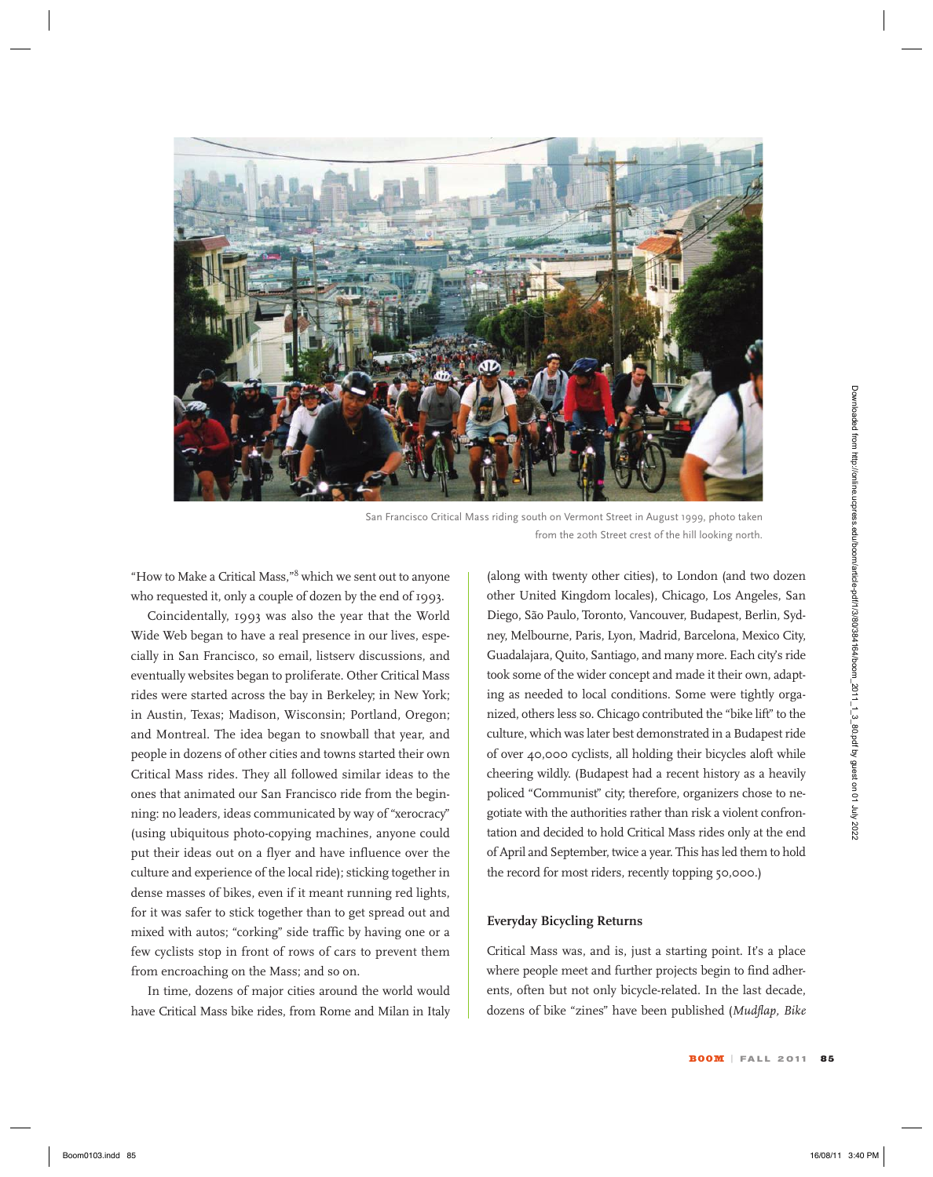

San Francisco Critical Mass riding south on Vermont Street in August 1999, photo taken from the 20th Street crest of the hill looking north.

"How to Make a Critical Mass,"8 which we sent out to anyone who requested it, only a couple of dozen by the end of 1993.

Coincidentally, 1993 was also the year that the World Wide Web began to have a real presence in our lives, especially in San Francisco, so email, listserv discussions, and eventually websites began to proliferate. Other Critical Mass rides were started across the bay in Berkeley; in New York; in Austin, Texas; Madison, Wisconsin; Portland, Oregon; and Montreal. The idea began to snowball that year, and people in dozens of other cities and towns started their own Critical Mass rides. They all followed similar ideas to the ones that animated our San Francisco ride from the beginning: no leaders, ideas communicated by way of "xerocracy" (using ubiquitous photo-copying machines, anyone could put their ideas out on a flyer and have influence over the culture and experience of the local ride); sticking together in dense masses of bikes, even if it meant running red lights, for it was safer to stick together than to get spread out and mixed with autos; "corking" side traffic by having one or a few cyclists stop in front of rows of cars to prevent them from encroaching on the Mass; and so on. The wo-Males Orbits Mac, <sup>4</sup>widel we sent out a transport (size of the best client) show that also be a control of the properties of the properties of the sent of the control of the control of the sent of the sent of the

In time, dozens of major cities around the world would have Critical Mass bike rides, from Rome and Milan in Italy

(along with twenty other cities), to London (and two dozen other United Kingdom locales), Chicago, Los Angeles, San Diego, São Paulo, Toronto, Vancouver, Budapest, Berlin, Sydney, Melbourne, Paris, Lyon, Madrid, Barcelona, Mexico City, Guadalajara, Quito, Santiago, and many more. Each city's ride took some of the wider concept and made it their own, adapting as needed to local conditions. Some were tightly organized, others less so. Chicago contributed the "bike lift" to the culture, which was later best demonstrated in a Budapest ride of over 40,000 cyclists, all holding their bicycles aloft while cheering wildly. (Budapest had a recent history as a heavily policed "Communist" city; therefore, organizers chose to negotiate with the authorities rather than risk a violent confrontation and decided to hold Critical Mass rides only at the end of April and September, twice a year. This has led them to hold the record for most riders, recently topping 50,000.)

## **Everyday Bicycling Returns**

Critical Mass was, and is, just a starting point. It's a place where people meet and further projects begin to find adherents, often but not only bicycle-related. In the last decade, dozens of bike "zines" have been published (*Mudflap, Bike*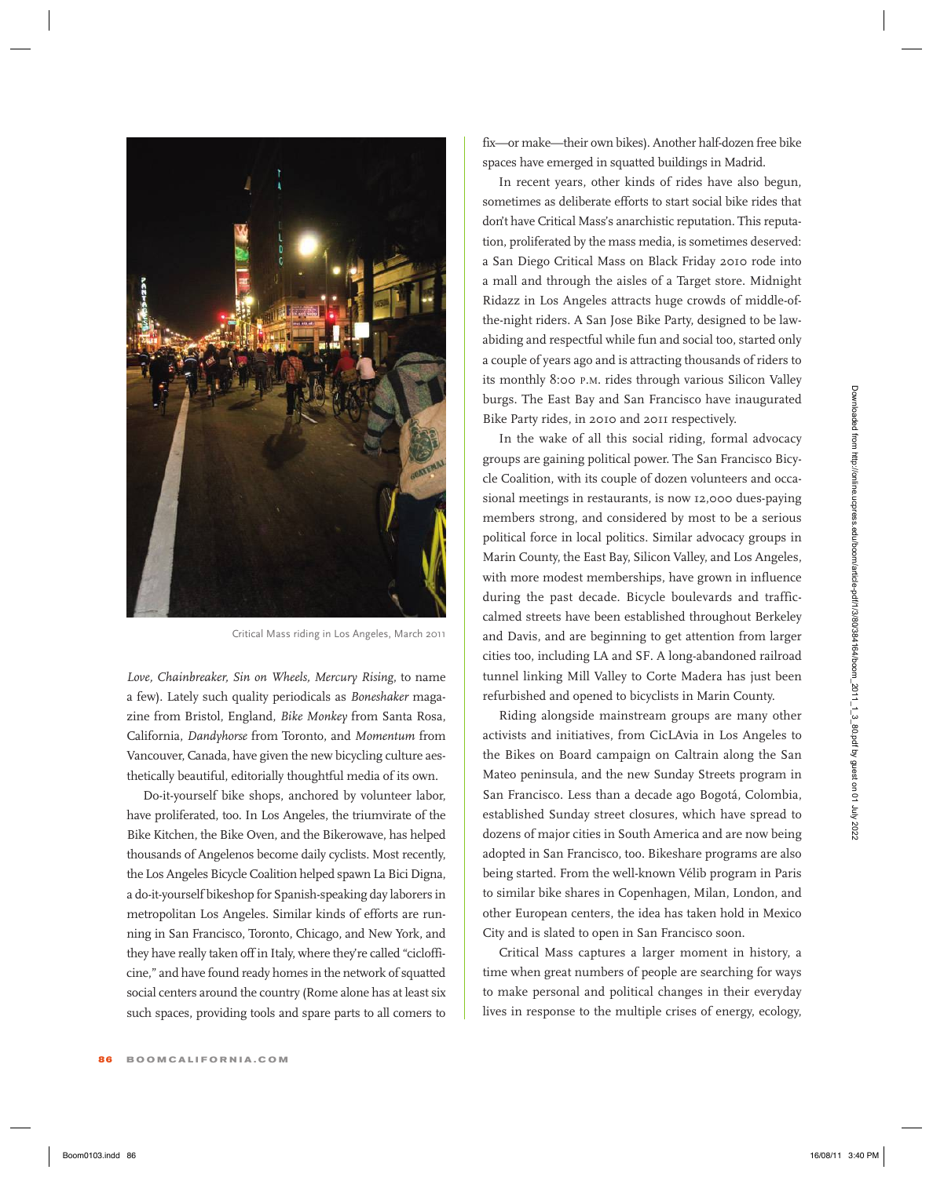

Critical Mass riding in Los Angeles, March 2011

*Love, Chainbreaker, Sin on Wheels, Mercury Rising*, to name a few). Lately such quality periodicals as *Boneshaker* magazine from Bristol, England, *Bike Monkey* from Santa Rosa, California, *Dandyhorse* from Toronto, and *Momentum* from Vancouver, Canada, have given the new bicycling culture aesthetically beautiful, editorially thoughtful media of its own.

Do-it-yourself bike shops, anchored by volunteer labor, have proliferated, too. In Los Angeles, the triumvirate of the Bike Kitchen, the Bike Oven, and the Bikerowave, has helped thousands of Angelenos become daily cyclists. Most recently, the Los Angeles Bicycle Coalition helped spawn La Bici Digna, a do-it-yourself bikeshop for Spanish-speaking day laborers in metropolitan Los Angeles. Similar kinds of efforts are running in San Francisco, Toronto, Chicago, and New York, and they have really taken off in Italy, where they're called "ciclofficine," and have found ready homes in the network of squatted social centers around the country (Rome alone has at least six such spaces, providing tools and spare parts to all comers to fix—or make—their own bikes). Another half-dozen free bike spaces have emerged in squatted buildings in Madrid.

In recent years, other kinds of rides have also begun, sometimes as deliberate efforts to start social bike rides that don't have Critical Mass's anarchistic reputation. This reputation, proliferated by the mass media, is sometimes deserved: a San Diego Critical Mass on Black Friday 2010 rode into a mall and through the aisles of a Target store. Midnight Ridazz in Los Angeles attracts huge crowds of middle-ofthe-night riders. A San Jose Bike Party, designed to be lawabiding and respectful while fun and social too, started only a couple of years ago and is attracting thousands of riders to its monthly 8:00 p.m. rides through various Silicon Valley burgs. The East Bay and San Francisco have inaugurated Bike Party rides, in 2010 and 2011 respectively.

In the wake of all this social riding, formal advocacy groups are gaining political power. The San Francisco Bicycle Coalition, with its couple of dozen volunteers and occasional meetings in restaurants, is now 12,000 dues-paying members strong, and considered by most to be a serious political force in local politics. Similar advocacy groups in Marin County, the East Bay, Silicon Valley, and Los Angeles, with more modest memberships, have grown in influence during the past decade. Bicycle boulevards and trafficcalmed streets have been established throughout Berkeley and Davis, and are beginning to get attention from larger cities too, including LA and SF. A long-abandoned railroad tunnel linking Mill Valley to Corte Madera has just been refurbished and opened to bicyclists in Marin County. Boom 103. The condition of the second of the second of the second of the second strength since  $\alpha$  properties and contempt to the second strength of the second strength of the second strength of the second strength by g

Riding alongside mainstream groups are many other activists and initiatives, from CicLAvia in Los Angeles to the Bikes on Board campaign on Caltrain along the San Mateo peninsula, and the new Sunday Streets program in San Francisco. Less than a decade ago Bogotá, Colombia, established Sunday street closures, which have spread to dozens of major cities in South America and are now being adopted in San Francisco, too. Bikeshare programs are also being started. From the well-known Vélib program in Paris to similar bike shares in Copenhagen, Milan, London, and other European centers, the idea has taken hold in Mexico City and is slated to open in San Francisco soon.

Critical Mass captures a larger moment in history, a time when great numbers of people are searching for ways to make personal and political changes in their everyday lives in response to the multiple crises of energy, ecology,